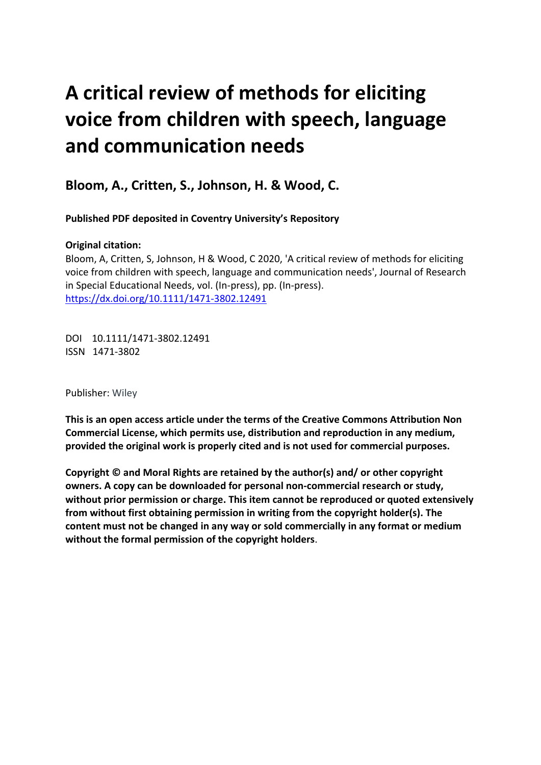# **A critical review of methods for eliciting voice from children with speech, language and communication needs**

**Bloom, A., Critten, S., Johnson, H. & Wood, C.** 

**Published PDF deposited in Coventry University's Repository** 

# **Original citation:**

Bloom, A, Critten, S, Johnson, H & Wood, C 2020, 'A critical review of methods for eliciting voice from children with speech, language and communication needs', Journal of Research in Special Educational Needs, vol. (In-press), pp. (In-press). https://dx.doi.org/10.1111/1471-3802.12491

 DOI 10.1111/1471-3802.12491 ISSN 1471-3802

Publisher: Wiley

**This is an open access article under the terms of the Creative Commons Attribution Non Commercial License, which permits use, distribution and reproduction in any medium, provided the original work is properly cited and is not used for commercial purposes.** 

**Copyright © and Moral Rights are retained by the author(s) and/ or other copyright owners. A copy can be downloaded for personal non-commercial research or study, without prior permission or charge. This item cannot be reproduced or quoted extensively from without first obtaining permission in writing from the copyright holder(s). The content must not be changed in any way or sold commercially in any format or medium without the formal permission of the copyright holders**.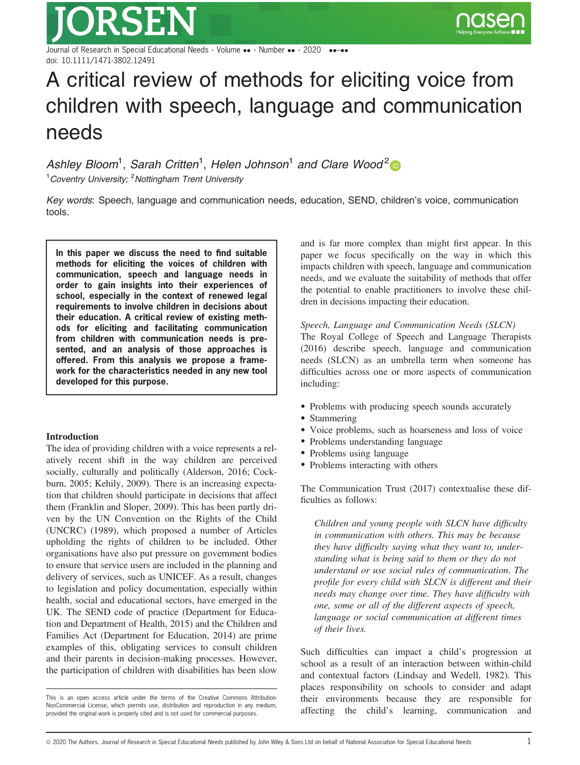# **DRSEN**

Journal of Research in Special Educational Needs  $\cdot$  Volume  $\bullet\bullet\cdot$  Number  $\bullet\bullet\cdot$  2020 doi: 10.1111/1471-3802.12491

# A critical review of methods for eliciting voice from children with speech, language and communication needs

Ashley Bloom<sup>1</sup>, Sarah Critten<sup>1</sup>, Helen Johnson<sup>1</sup> and Clare Wood<sup>2</sup> <sup>1</sup> Coventry University; <sup>2</sup> Nottingham Trent University

Key words: Speech, language and communication needs, education, SEND, children's voice, communication tools.

In this paper we discuss the need to find suitable methods for eliciting the voices of children with communication, speech and language needs in order to gain insights into their experiences of school, especially in the context of renewed legal requirements to involve children in decisions about their education. A critical review of existing methods for eliciting and facilitating communication from children with communication needs is presented, and an analysis of those approaches is offered. From this analysis we propose a framework for the characteristics needed in any new tool developed for this purpose.

#### **Introduction**

The idea of providing children with a voice represents a relatively recent shift in the way children are perceived socially, culturally and politically (Alderson, 2016; Cockburn, 2005; Kehily, 2009). There is an increasing expectation that children should participate in decisions that affect them (Franklin and Sloper, 2009). This has been partly driven by the UN Convention on the Rights of the Child (UNCRC) (1989), which proposed a number of Articles upholding the rights of children to be included. Other organisations have also put pressure on government bodies to ensure that service users are included in the planning and delivery of services, such as UNICEF. As a result, changes to legislation and policy documentation, especially within health, social and educational sectors, have emerged in the UK. The SEND code of practice (Department for Education and Department of Health, 2015) and the Children and Families Act (Department for Education, 2014) are prime examples of this, obligating services to consult children and their parents in decision-making processes. However, the participation of children with disabilities has been slow and is far more complex than might first appear. In this paper we focus specifically on the way in which this impacts children with speech, language and communication needs, and we evaluate the suitability of methods that offer the potential to enable practitioners to involve these children in decisions impacting their education.

Speech, Language and Communication Needs (SLCN) The Royal College of Speech and Language Therapists (2016) describe speech, language and communication needs (SLCN) as an umbrella term when someone has difficulties across one or more aspects of communication including:

- Problems with producing speech sounds accurately
- Stammering
- Voice problems, such as hoarseness and loss of voice
- Problems understanding language
- Problems using language
- Problems interacting with others

The Communication Trust (2017) contextualise these difficulties as follows:

Children and young people with SLCN have difficulty in communication with others. This may be because they have difficulty saying what they want to, understanding what is being said to them or they do not understand or use social rules of communication. The profile for every child with SLCN is different and their needs may change over time. They have difficulty with one, some or all of the different aspects of speech, language or social communication at different times of their lives.

Such difficulties can impact a child's progression at school as a result of an interaction between within-child and contextual factors (Lindsay and Wedell, 1982). This places responsibility on schools to consider and adapt their environments because they are responsible for affecting the child's learning, communication and

This is an open access article under the terms of the Creative Commons [Attribution-](http://creativecommons.org/licenses/by-nc/4.0/)[NonCommercial](http://creativecommons.org/licenses/by-nc/4.0/) License, which permits use, distribution and reproduction in any medium, provided the original work is properly cited and is not used for commercial purposes.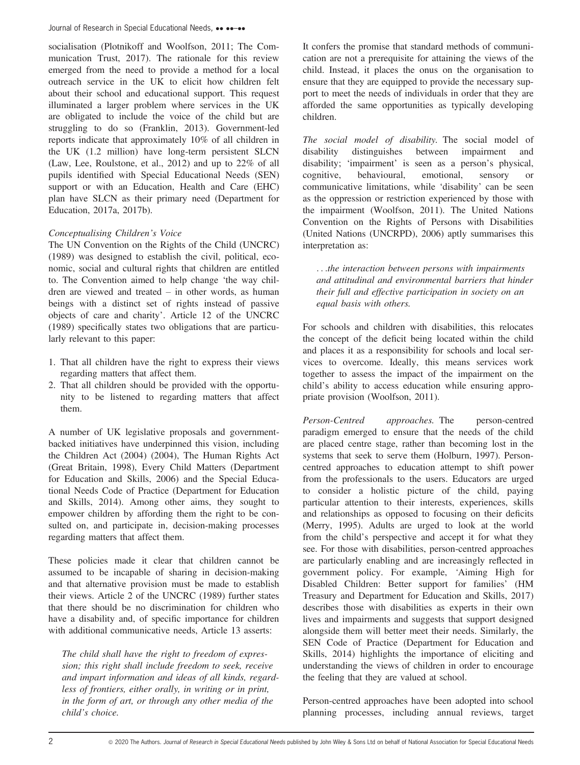socialisation (Plotnikoff and Woolfson, 2011; The Communication Trust, 2017). The rationale for this review emerged from the need to provide a method for a local outreach service in the UK to elicit how children felt about their school and educational support. This request illuminated a larger problem where services in the UK are obligated to include the voice of the child but are struggling to do so (Franklin, 2013). Government-led reports indicate that approximately 10% of all children in the UK (1.2 million) have long-term persistent SLCN (Law, Lee, Roulstone, et al., 2012) and up to 22% of all pupils identified with Special Educational Needs (SEN) support or with an Education, Health and Care (EHC) plan have SLCN as their primary need (Department for Education, 2017a, 2017b).

# Conceptualising Children's Voice

The UN Convention on the Rights of the Child (UNCRC) (1989) was designed to establish the civil, political, economic, social and cultural rights that children are entitled to. The Convention aimed to help change 'the way children are viewed and treated – in other words, as human beings with a distinct set of rights instead of passive objects of care and charity'. Article 12 of the UNCRC (1989) specifically states two obligations that are particularly relevant to this paper:

- 1. That all children have the right to express their views regarding matters that affect them.
- 2. That all children should be provided with the opportunity to be listened to regarding matters that affect them.

A number of UK legislative proposals and governmentbacked initiatives have underpinned this vision, including the Children Act (2004) (2004), The Human Rights Act (Great Britain, 1998), Every Child Matters (Department for Education and Skills, 2006) and the Special Educational Needs Code of Practice (Department for Education and Skills, 2014). Among other aims, they sought to empower children by affording them the right to be consulted on, and participate in, decision-making processes regarding matters that affect them.

These policies made it clear that children cannot be assumed to be incapable of sharing in decision-making and that alternative provision must be made to establish their views. Article 2 of the UNCRC (1989) further states that there should be no discrimination for children who have a disability and, of specific importance for children with additional communicative needs, Article 13 asserts:

The child shall have the right to freedom of expression; this right shall include freedom to seek, receive and impart information and ideas of all kinds, regardless of frontiers, either orally, in writing or in print, in the form of art, or through any other media of the child's choice.

It confers the promise that standard methods of communication are not a prerequisite for attaining the views of the child. Instead, it places the onus on the organisation to ensure that they are equipped to provide the necessary support to meet the needs of individuals in order that they are afforded the same opportunities as typically developing children.

The social model of disability. The social model of disability distinguishes between impairment and disability; 'impairment' is seen as a person's physical, cognitive, behavioural, emotional, sensory or communicative limitations, while 'disability' can be seen as the oppression or restriction experienced by those with the impairment (Woolfson, 2011). The United Nations Convention on the Rights of Persons with Disabilities (United Nations (UNCRPD), 2006) aptly summarises this interpretation as:

...the interaction between persons with impairments and attitudinal and environmental barriers that hinder their full and effective participation in society on an equal basis with others.

For schools and children with disabilities, this relocates the concept of the deficit being located within the child and places it as a responsibility for schools and local services to overcome. Ideally, this means services work together to assess the impact of the impairment on the child's ability to access education while ensuring appropriate provision (Woolfson, 2011).

Person-Centred approaches. The person-centred paradigm emerged to ensure that the needs of the child are placed centre stage, rather than becoming lost in the systems that seek to serve them (Holburn, 1997). Personcentred approaches to education attempt to shift power from the professionals to the users. Educators are urged to consider a holistic picture of the child, paying particular attention to their interests, experiences, skills and relationships as opposed to focusing on their deficits (Merry, 1995). Adults are urged to look at the world from the child's perspective and accept it for what they see. For those with disabilities, person-centred approaches are particularly enabling and are increasingly reflected in government policy. For example, 'Aiming High for Disabled Children: Better support for families' (HM Treasury and Department for Education and Skills, 2017) describes those with disabilities as experts in their own lives and impairments and suggests that support designed alongside them will better meet their needs. Similarly, the SEN Code of Practice (Department for Education and Skills, 2014) highlights the importance of eliciting and understanding the views of children in order to encourage the feeling that they are valued at school.

Person-centred approaches have been adopted into school planning processes, including annual reviews, target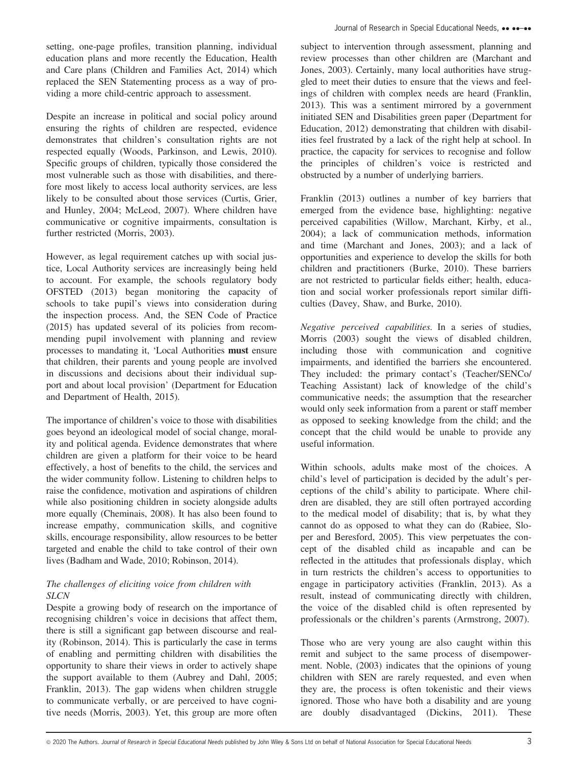setting, one-page profiles, transition planning, individual education plans and more recently the Education, Health and Care plans (Children and Families Act, 2014) which replaced the SEN Statementing process as a way of providing a more child-centric approach to assessment.

Despite an increase in political and social policy around ensuring the rights of children are respected, evidence demonstrates that children's consultation rights are not respected equally (Woods, Parkinson, and Lewis, 2010). Specific groups of children, typically those considered the most vulnerable such as those with disabilities, and therefore most likely to access local authority services, are less likely to be consulted about those services (Curtis, Grier, and Hunley, 2004; McLeod, 2007). Where children have communicative or cognitive impairments, consultation is further restricted (Morris, 2003).

However, as legal requirement catches up with social justice, Local Authority services are increasingly being held to account. For example, the schools regulatory body OFSTED (2013) began monitoring the capacity of schools to take pupil's views into consideration during the inspection process. And, the SEN Code of Practice (2015) has updated several of its policies from recommending pupil involvement with planning and review processes to mandating it, 'Local Authorities must ensure that children, their parents and young people are involved in discussions and decisions about their individual support and about local provision' (Department for Education and Department of Health, 2015).

The importance of children's voice to those with disabilities goes beyond an ideological model of social change, morality and political agenda. Evidence demonstrates that where children are given a platform for their voice to be heard effectively, a host of benefits to the child, the services and the wider community follow. Listening to children helps to raise the confidence, motivation and aspirations of children while also positioning children in society alongside adults more equally (Cheminais, 2008). It has also been found to increase empathy, communication skills, and cognitive skills, encourage responsibility, allow resources to be better targeted and enable the child to take control of their own lives (Badham and Wade, 2010; Robinson, 2014).

#### The challenges of eliciting voice from children with SLCN

Despite a growing body of research on the importance of recognising children's voice in decisions that affect them, there is still a significant gap between discourse and reality (Robinson, 2014). This is particularly the case in terms of enabling and permitting children with disabilities the opportunity to share their views in order to actively shape the support available to them (Aubrey and Dahl, 2005; Franklin, 2013). The gap widens when children struggle to communicate verbally, or are perceived to have cognitive needs (Morris, 2003). Yet, this group are more often subject to intervention through assessment, planning and review processes than other children are (Marchant and Jones, 2003). Certainly, many local authorities have struggled to meet their duties to ensure that the views and feelings of children with complex needs are heard (Franklin, 2013). This was a sentiment mirrored by a government initiated SEN and Disabilities green paper (Department for Education, 2012) demonstrating that children with disabilities feel frustrated by a lack of the right help at school. In practice, the capacity for services to recognise and follow the principles of children's voice is restricted and obstructed by a number of underlying barriers.

Franklin (2013) outlines a number of key barriers that emerged from the evidence base, highlighting: negative perceived capabilities (Willow, Marchant, Kirby, et al., 2004); a lack of communication methods, information and time (Marchant and Jones, 2003); and a lack of opportunities and experience to develop the skills for both children and practitioners (Burke, 2010). These barriers are not restricted to particular fields either; health, education and social worker professionals report similar difficulties (Davey, Shaw, and Burke, 2010).

Negative perceived capabilities. In a series of studies, Morris (2003) sought the views of disabled children, including those with communication and cognitive impairments, and identified the barriers she encountered. They included: the primary contact's (Teacher/SENCo/ Teaching Assistant) lack of knowledge of the child's communicative needs; the assumption that the researcher would only seek information from a parent or staff member as opposed to seeking knowledge from the child; and the concept that the child would be unable to provide any useful information.

Within schools, adults make most of the choices. A child's level of participation is decided by the adult's perceptions of the child's ability to participate. Where children are disabled, they are still often portrayed according to the medical model of disability; that is, by what they cannot do as opposed to what they can do (Rabiee, Sloper and Beresford, 2005). This view perpetuates the concept of the disabled child as incapable and can be reflected in the attitudes that professionals display, which in turn restricts the children's access to opportunities to engage in participatory activities (Franklin, 2013). As a result, instead of communicating directly with children, the voice of the disabled child is often represented by professionals or the children's parents (Armstrong, 2007).

Those who are very young are also caught within this remit and subject to the same process of disempowerment. Noble, (2003) indicates that the opinions of young children with SEN are rarely requested, and even when they are, the process is often tokenistic and their views ignored. Those who have both a disability and are young are doubly disadvantaged (Dickins, 2011). These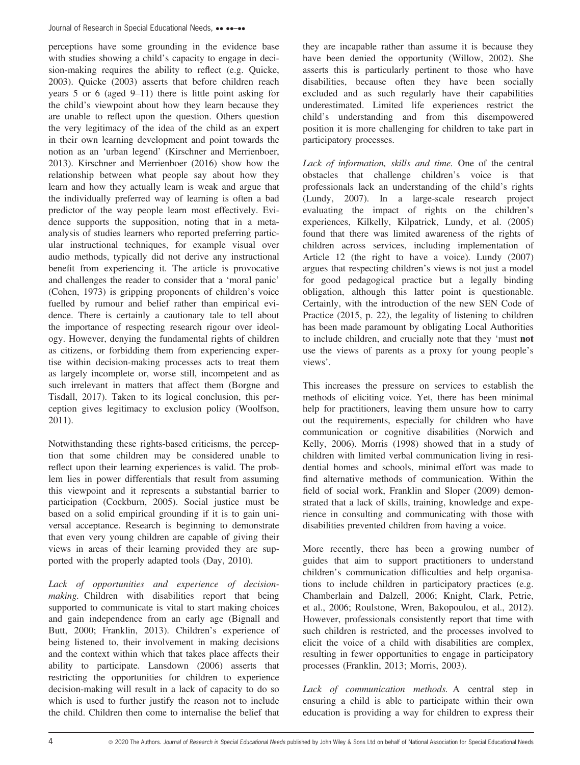perceptions have some grounding in the evidence base with studies showing a child's capacity to engage in decision-making requires the ability to reflect (e.g. Quicke, 2003). Quicke (2003) asserts that before children reach years 5 or 6 (aged 9–11) there is little point asking for the child's viewpoint about how they learn because they are unable to reflect upon the question. Others question the very legitimacy of the idea of the child as an expert in their own learning development and point towards the notion as an 'urban legend' (Kirschner and Merrienboer, 2013). Kirschner and Merrienboer (2016) show how the relationship between what people say about how they learn and how they actually learn is weak and argue that the individually preferred way of learning is often a bad predictor of the way people learn most effectively. Evidence supports the supposition, noting that in a metaanalysis of studies learners who reported preferring particular instructional techniques, for example visual over audio methods, typically did not derive any instructional benefit from experiencing it. The article is provocative and challenges the reader to consider that a 'moral panic' (Cohen, 1973) is gripping proponents of children's voice fuelled by rumour and belief rather than empirical evidence. There is certainly a cautionary tale to tell about the importance of respecting research rigour over ideology. However, denying the fundamental rights of children as citizens, or forbidding them from experiencing expertise within decision-making processes acts to treat them as largely incomplete or, worse still, incompetent and as such irrelevant in matters that affect them (Borgne and Tisdall, 2017). Taken to its logical conclusion, this perception gives legitimacy to exclusion policy (Woolfson, 2011).

Notwithstanding these rights-based criticisms, the perception that some children may be considered unable to reflect upon their learning experiences is valid. The problem lies in power differentials that result from assuming this viewpoint and it represents a substantial barrier to participation (Cockburn, 2005). Social justice must be based on a solid empirical grounding if it is to gain universal acceptance. Research is beginning to demonstrate that even very young children are capable of giving their views in areas of their learning provided they are supported with the properly adapted tools (Day, 2010).

Lack of opportunities and experience of decisionmaking. Children with disabilities report that being supported to communicate is vital to start making choices and gain independence from an early age (Bignall and Butt, 2000; Franklin, 2013). Children's experience of being listened to, their involvement in making decisions and the context within which that takes place affects their ability to participate. Lansdown (2006) asserts that restricting the opportunities for children to experience decision-making will result in a lack of capacity to do so which is used to further justify the reason not to include the child. Children then come to internalise the belief that they are incapable rather than assume it is because they have been denied the opportunity (Willow, 2002). She asserts this is particularly pertinent to those who have disabilities, because often they have been socially excluded and as such regularly have their capabilities underestimated. Limited life experiences restrict the child's understanding and from this disempowered position it is more challenging for children to take part in participatory processes.

Lack of information, skills and time. One of the central obstacles that challenge children's voice is that professionals lack an understanding of the child's rights (Lundy, 2007). In a large-scale research project evaluating the impact of rights on the children's experiences, Kilkelly, Kilpatrick, Lundy, et al. (2005) found that there was limited awareness of the rights of children across services, including implementation of Article 12 (the right to have a voice). Lundy (2007) argues that respecting children's views is not just a model for good pedagogical practice but a legally binding obligation, although this latter point is questionable. Certainly, with the introduction of the new SEN Code of Practice (2015, p. 22), the legality of listening to children has been made paramount by obligating Local Authorities to include children, and crucially note that they 'must not use the views of parents as a proxy for young people's views'.

This increases the pressure on services to establish the methods of eliciting voice. Yet, there has been minimal help for practitioners, leaving them unsure how to carry out the requirements, especially for children who have communication or cognitive disabilities (Norwich and Kelly, 2006). Morris (1998) showed that in a study of children with limited verbal communication living in residential homes and schools, minimal effort was made to find alternative methods of communication. Within the field of social work, Franklin and Sloper (2009) demonstrated that a lack of skills, training, knowledge and experience in consulting and communicating with those with disabilities prevented children from having a voice.

More recently, there has been a growing number of guides that aim to support practitioners to understand children's communication difficulties and help organisations to include children in participatory practices (e.g. Chamberlain and Dalzell, 2006; Knight, Clark, Petrie, et al., 2006; Roulstone, Wren, Bakopoulou, et al., 2012). However, professionals consistently report that time with such children is restricted, and the processes involved to elicit the voice of a child with disabilities are complex, resulting in fewer opportunities to engage in participatory processes (Franklin, 2013; Morris, 2003).

Lack of communication methods. A central step in ensuring a child is able to participate within their own education is providing a way for children to express their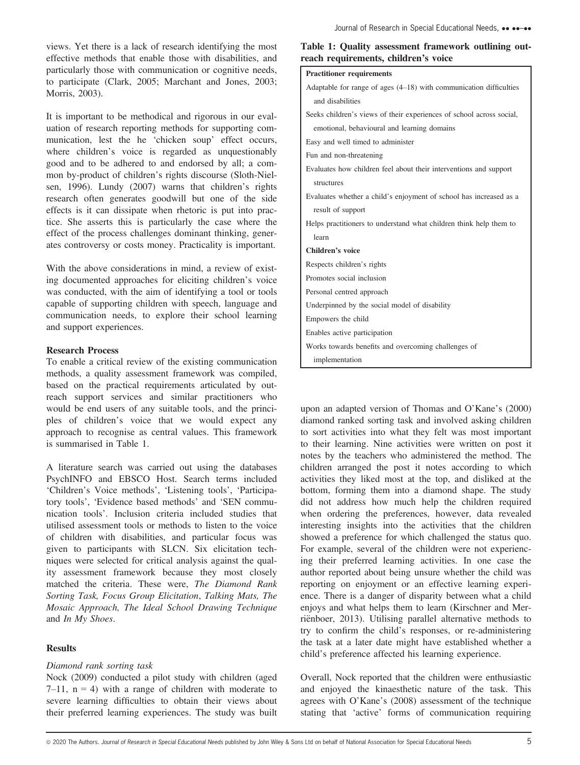views. Yet there is a lack of research identifying the most effective methods that enable those with disabilities, and particularly those with communication or cognitive needs, to participate (Clark, 2005; Marchant and Jones, 2003; Morris, 2003).

It is important to be methodical and rigorous in our evaluation of research reporting methods for supporting communication, lest the he 'chicken soup' effect occurs, where children's voice is regarded as unquestionably good and to be adhered to and endorsed by all; a common by-product of children's rights discourse (Sloth-Nielsen, 1996). Lundy (2007) warns that children's rights research often generates goodwill but one of the side effects is it can dissipate when rhetoric is put into practice. She asserts this is particularly the case where the effect of the process challenges dominant thinking, generates controversy or costs money. Practicality is important.

With the above considerations in mind, a review of existing documented approaches for eliciting children's voice was conducted, with the aim of identifying a tool or tools capable of supporting children with speech, language and communication needs, to explore their school learning and support experiences.

#### Research Process

To enable a critical review of the existing communication methods, a quality assessment framework was compiled, based on the practical requirements articulated by outreach support services and similar practitioners who would be end users of any suitable tools, and the principles of children's voice that we would expect any approach to recognise as central values. This framework is summarised in Table 1.

A literature search was carried out using the databases PsychINFO and EBSCO Host. Search terms included 'Children's Voice methods', 'Listening tools', 'Participatory tools', 'Evidence based methods' and 'SEN communication tools'. Inclusion criteria included studies that utilised assessment tools or methods to listen to the voice of children with disabilities, and particular focus was given to participants with SLCN. Six elicitation techniques were selected for critical analysis against the quality assessment framework because they most closely matched the criteria. These were, The Diamond Rank Sorting Task, Focus Group Elicitation, Talking Mats, The Mosaic Approach, The Ideal School Drawing Technique and In My Shoes.

### **Results**

#### Diamond rank sorting task

Nock (2009) conducted a pilot study with children (aged  $7-11$ ,  $n = 4$ ) with a range of children with moderate to severe learning difficulties to obtain their views about their preferred learning experiences. The study was built

#### Table 1: Quality assessment framework outlining outreach requirements, children's voice

| <b>Practitioner requirements</b>                                     |  |  |  |  |
|----------------------------------------------------------------------|--|--|--|--|
| Adaptable for range of ages $(4-18)$ with communication difficulties |  |  |  |  |
| and disabilities                                                     |  |  |  |  |
| Seeks children's views of their experiences of school across social, |  |  |  |  |
| emotional, behavioural and learning domains                          |  |  |  |  |
| Easy and well timed to administer                                    |  |  |  |  |
| Fun and non-threatening                                              |  |  |  |  |
| Evaluates how children feel about their interventions and support    |  |  |  |  |
| structures                                                           |  |  |  |  |
| Evaluates whether a child's enjoyment of school has increased as a   |  |  |  |  |
| result of support                                                    |  |  |  |  |
| Helps practitioners to understand what children think help them to   |  |  |  |  |
| learn                                                                |  |  |  |  |
| Children's voice                                                     |  |  |  |  |
| Respects children's rights                                           |  |  |  |  |
| Promotes social inclusion                                            |  |  |  |  |
| Personal centred approach                                            |  |  |  |  |
| Underpinned by the social model of disability                        |  |  |  |  |
| Empowers the child                                                   |  |  |  |  |
| Enables active participation                                         |  |  |  |  |
| Works towards benefits and overcoming challenges of                  |  |  |  |  |
| implementation                                                       |  |  |  |  |

upon an adapted version of Thomas and O'Kane's (2000) diamond ranked sorting task and involved asking children to sort activities into what they felt was most important to their learning. Nine activities were written on post it notes by the teachers who administered the method. The children arranged the post it notes according to which activities they liked most at the top, and disliked at the bottom, forming them into a diamond shape. The study did not address how much help the children required when ordering the preferences, however, data revealed interesting insights into the activities that the children showed a preference for which challenged the status quo. For example, several of the children were not experiencing their preferred learning activities. In one case the author reported about being unsure whether the child was reporting on enjoyment or an effective learning experience. There is a danger of disparity between what a child enjoys and what helps them to learn (Kirschner and Merriënboer, 2013). Utilising parallel alternative methods to try to confirm the child's responses, or re-administering the task at a later date might have established whether a child's preference affected his learning experience.

Overall, Nock reported that the children were enthusiastic and enjoyed the kinaesthetic nature of the task. This agrees with O'Kane's (2008) assessment of the technique stating that 'active' forms of communication requiring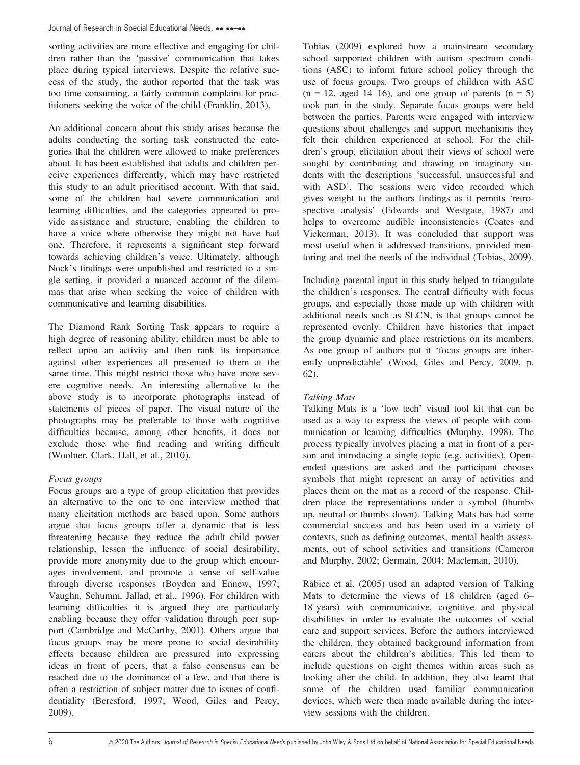sorting activities are more effective and engaging for children rather than the 'passive' communication that takes place during typical interviews. Despite the relative success of the study, the author reported that the task was too time consuming, a fairly common complaint for practitioners seeking the voice of the child (Franklin, 2013).

An additional concern about this study arises because the adults conducting the sorting task constructed the categories that the children were allowed to make preferences about. It has been established that adults and children perceive experiences differently, which may have restricted this study to an adult prioritised account. With that said, some of the children had severe communication and learning difficulties, and the categories appeared to provide assistance and structure, enabling the children to have a voice where otherwise they might not have had one. Therefore, it represents a significant step forward towards achieving children's voice. Ultimately, although Nock's findings were unpublished and restricted to a single setting, it provided a nuanced account of the dilemmas that arise when seeking the voice of children with communicative and learning disabilities.

The Diamond Rank Sorting Task appears to require a high degree of reasoning ability; children must be able to reflect upon an activity and then rank its importance against other experiences all presented to them at the same time. This might restrict those who have more severe cognitive needs. An interesting alternative to the above study is to incorporate photographs instead of statements of pieces of paper. The visual nature of the photographs may be preferable to those with cognitive difficulties because, among other benefits, it does not exclude those who find reading and writing difficult (Woolner, Clark, Hall, et al., 2010).

# Focus groups

Focus groups are a type of group elicitation that provides an alternative to the one to one interview method that many elicitation methods are based upon. Some authors argue that focus groups offer a dynamic that is less threatening because they reduce the adult–child power relationship, lessen the influence of social desirability, provide more anonymity due to the group which encourages involvement, and promote a sense of self-value through diverse responses (Boyden and Ennew, 1997; Vaughn, Schumm, Jallad, et al., 1996). For children with learning difficulties it is argued they are particularly enabling because they offer validation through peer support (Cambridge and McCarthy, 2001). Others argue that focus groups may be more prone to social desirability effects because children are pressured into expressing ideas in front of peers, that a false consensus can be reached due to the dominance of a few, and that there is often a restriction of subject matter due to issues of confidentiality (Beresford, 1997; Wood, Giles and Percy, 2009).

Tobias (2009) explored how a mainstream secondary school supported children with autism spectrum conditions (ASC) to inform future school policy through the use of focus groups. Two groups of children with ASC  $(n = 12, \text{ aged } 14-16)$ , and one group of parents  $(n = 5)$ took part in the study. Separate focus groups were held between the parties. Parents were engaged with interview questions about challenges and support mechanisms they felt their children experienced at school. For the children's group, elicitation about their views of school were sought by contributing and drawing on imaginary students with the descriptions 'successful, unsuccessful and with ASD'. The sessions were video recorded which gives weight to the authors findings as it permits 'retrospective analysis' (Edwards and Westgate, 1987) and helps to overcome audible inconsistencies (Coates and Vickerman, 2013). It was concluded that support was most useful when it addressed transitions, provided mentoring and met the needs of the individual (Tobias, 2009).

Including parental input in this study helped to triangulate the children's responses. The central difficulty with focus groups, and especially those made up with children with additional needs such as SLCN, is that groups cannot be represented evenly. Children have histories that impact the group dynamic and place restrictions on its members. As one group of authors put it 'focus groups are inherently unpredictable' (Wood, Giles and Percy, 2009, p. 62).

# Talking Mats

Talking Mats is a 'low tech' visual tool kit that can be used as a way to express the views of people with communication or learning difficulties (Murphy, 1998). The process typically involves placing a mat in front of a person and introducing a single topic (e.g. activities). Openended questions are asked and the participant chooses symbols that might represent an array of activities and places them on the mat as a record of the response. Children place the representations under a symbol (thumbs up, neutral or thumbs down). Talking Mats has had some commercial success and has been used in a variety of contexts, such as defining outcomes, mental health assessments, out of school activities and transitions (Cameron and Murphy, 2002; Germain, 2004; Macleman, 2010).

Rabiee et al. (2005) used an adapted version of Talking Mats to determine the views of 18 children (aged 6– 18 years) with communicative, cognitive and physical disabilities in order to evaluate the outcomes of social care and support services. Before the authors interviewed the children, they obtained background information from carers about the children's abilities. This led them to include questions on eight themes within areas such as looking after the child. In addition, they also learnt that some of the children used familiar communication devices, which were then made available during the interview sessions with the children.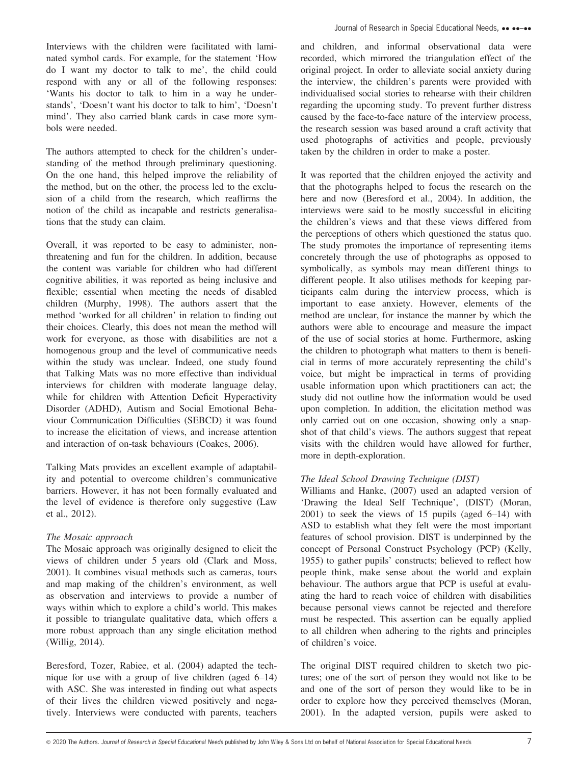Interviews with the children were facilitated with laminated symbol cards. For example, for the statement 'How do I want my doctor to talk to me', the child could respond with any or all of the following responses: 'Wants his doctor to talk to him in a way he understands', 'Doesn't want his doctor to talk to him', 'Doesn't mind'. They also carried blank cards in case more symbols were needed.

The authors attempted to check for the children's understanding of the method through preliminary questioning. On the one hand, this helped improve the reliability of the method, but on the other, the process led to the exclusion of a child from the research, which reaffirms the notion of the child as incapable and restricts generalisations that the study can claim.

Overall, it was reported to be easy to administer, nonthreatening and fun for the children. In addition, because the content was variable for children who had different cognitive abilities, it was reported as being inclusive and flexible; essential when meeting the needs of disabled children (Murphy, 1998). The authors assert that the method 'worked for all children' in relation to finding out their choices. Clearly, this does not mean the method will work for everyone, as those with disabilities are not a homogenous group and the level of communicative needs within the study was unclear. Indeed, one study found that Talking Mats was no more effective than individual interviews for children with moderate language delay, while for children with Attention Deficit Hyperactivity Disorder (ADHD), Autism and Social Emotional Behaviour Communication Difficulties (SEBCD) it was found to increase the elicitation of views, and increase attention and interaction of on-task behaviours (Coakes, 2006).

Talking Mats provides an excellent example of adaptability and potential to overcome children's communicative barriers. However, it has not been formally evaluated and the level of evidence is therefore only suggestive (Law et al., 2012).

#### The Mosaic approach

The Mosaic approach was originally designed to elicit the views of children under 5 years old (Clark and Moss, 2001). It combines visual methods such as cameras, tours and map making of the children's environment, as well as observation and interviews to provide a number of ways within which to explore a child's world. This makes it possible to triangulate qualitative data, which offers a more robust approach than any single elicitation method (Willig, 2014).

Beresford, Tozer, Rabiee, et al. (2004) adapted the technique for use with a group of five children (aged 6–14) with ASC. She was interested in finding out what aspects of their lives the children viewed positively and negatively. Interviews were conducted with parents, teachers

and children, and informal observational data were recorded, which mirrored the triangulation effect of the original project. In order to alleviate social anxiety during the interview, the children's parents were provided with individualised social stories to rehearse with their children regarding the upcoming study. To prevent further distress caused by the face-to-face nature of the interview process, the research session was based around a craft activity that used photographs of activities and people, previously taken by the children in order to make a poster.

It was reported that the children enjoyed the activity and that the photographs helped to focus the research on the here and now (Beresford et al., 2004). In addition, the interviews were said to be mostly successful in eliciting the children's views and that these views differed from the perceptions of others which questioned the status quo. The study promotes the importance of representing items concretely through the use of photographs as opposed to symbolically, as symbols may mean different things to different people. It also utilises methods for keeping participants calm during the interview process, which is important to ease anxiety. However, elements of the method are unclear, for instance the manner by which the authors were able to encourage and measure the impact of the use of social stories at home. Furthermore, asking the children to photograph what matters to them is beneficial in terms of more accurately representing the child's voice, but might be impractical in terms of providing usable information upon which practitioners can act; the study did not outline how the information would be used upon completion. In addition, the elicitation method was only carried out on one occasion, showing only a snapshot of that child's views. The authors suggest that repeat visits with the children would have allowed for further, more in depth-exploration.

# The Ideal School Drawing Technique (DIST)

Williams and Hanke, (2007) used an adapted version of 'Drawing the Ideal Self Technique', (DIST) (Moran, 2001) to seek the views of 15 pupils (aged 6–14) with ASD to establish what they felt were the most important features of school provision. DIST is underpinned by the concept of Personal Construct Psychology (PCP) (Kelly, 1955) to gather pupils' constructs; believed to reflect how people think, make sense about the world and explain behaviour. The authors argue that PCP is useful at evaluating the hard to reach voice of children with disabilities because personal views cannot be rejected and therefore must be respected. This assertion can be equally applied to all children when adhering to the rights and principles of children's voice.

The original DIST required children to sketch two pictures; one of the sort of person they would not like to be and one of the sort of person they would like to be in order to explore how they perceived themselves (Moran, 2001). In the adapted version, pupils were asked to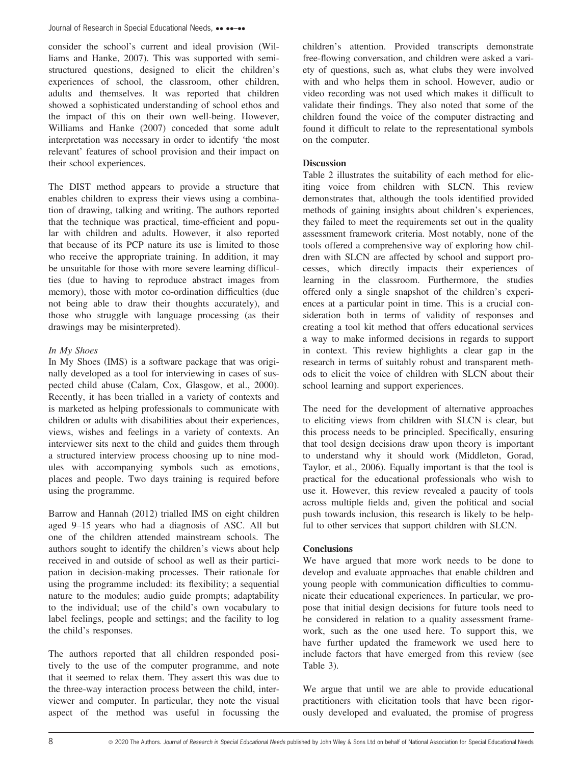consider the school's current and ideal provision (Williams and Hanke, 2007). This was supported with semistructured questions, designed to elicit the children's experiences of school, the classroom, other children, adults and themselves. It was reported that children showed a sophisticated understanding of school ethos and the impact of this on their own well-being. However, Williams and Hanke (2007) conceded that some adult interpretation was necessary in order to identify 'the most relevant' features of school provision and their impact on their school experiences.

The DIST method appears to provide a structure that enables children to express their views using a combination of drawing, talking and writing. The authors reported that the technique was practical, time-efficient and popular with children and adults. However, it also reported that because of its PCP nature its use is limited to those who receive the appropriate training. In addition, it may be unsuitable for those with more severe learning difficulties (due to having to reproduce abstract images from memory), those with motor co-ordination difficulties (due not being able to draw their thoughts accurately), and those who struggle with language processing (as their drawings may be misinterpreted).

# In My Shoes

In My Shoes (IMS) is a software package that was originally developed as a tool for interviewing in cases of suspected child abuse (Calam, Cox, Glasgow, et al., 2000). Recently, it has been trialled in a variety of contexts and is marketed as helping professionals to communicate with children or adults with disabilities about their experiences, views, wishes and feelings in a variety of contexts. An interviewer sits next to the child and guides them through a structured interview process choosing up to nine modules with accompanying symbols such as emotions, places and people. Two days training is required before using the programme.

Barrow and Hannah (2012) trialled IMS on eight children aged 9–15 years who had a diagnosis of ASC. All but one of the children attended mainstream schools. The authors sought to identify the children's views about help received in and outside of school as well as their participation in decision-making processes. Their rationale for using the programme included: its flexibility; a sequential nature to the modules; audio guide prompts; adaptability to the individual; use of the child's own vocabulary to label feelings, people and settings; and the facility to log the child's responses.

The authors reported that all children responded positively to the use of the computer programme, and note that it seemed to relax them. They assert this was due to the three-way interaction process between the child, interviewer and computer. In particular, they note the visual aspect of the method was useful in focussing the

children's attention. Provided transcripts demonstrate free-flowing conversation, and children were asked a variety of questions, such as, what clubs they were involved with and who helps them in school. However, audio or video recording was not used which makes it difficult to validate their findings. They also noted that some of the children found the voice of the computer distracting and found it difficult to relate to the representational symbols on the computer.

# **Discussion**

Table 2 illustrates the suitability of each method for eliciting voice from children with SLCN. This review demonstrates that, although the tools identified provided methods of gaining insights about children's experiences, they failed to meet the requirements set out in the quality assessment framework criteria. Most notably, none of the tools offered a comprehensive way of exploring how children with SLCN are affected by school and support processes, which directly impacts their experiences of learning in the classroom. Furthermore, the studies offered only a single snapshot of the children's experiences at a particular point in time. This is a crucial consideration both in terms of validity of responses and creating a tool kit method that offers educational services a way to make informed decisions in regards to support in context. This review highlights a clear gap in the research in terms of suitably robust and transparent methods to elicit the voice of children with SLCN about their school learning and support experiences.

The need for the development of alternative approaches to eliciting views from children with SLCN is clear, but this process needs to be principled. Specifically, ensuring that tool design decisions draw upon theory is important to understand why it should work (Middleton, Gorad, Taylor, et al., 2006). Equally important is that the tool is practical for the educational professionals who wish to use it. However, this review revealed a paucity of tools across multiple fields and, given the political and social push towards inclusion, this research is likely to be helpful to other services that support children with SLCN.

# **Conclusions**

We have argued that more work needs to be done to develop and evaluate approaches that enable children and young people with communication difficulties to communicate their educational experiences. In particular, we propose that initial design decisions for future tools need to be considered in relation to a quality assessment framework, such as the one used here. To support this, we have further updated the framework we used here to include factors that have emerged from this review (see Table 3).

We argue that until we are able to provide educational practitioners with elicitation tools that have been rigorously developed and evaluated, the promise of progress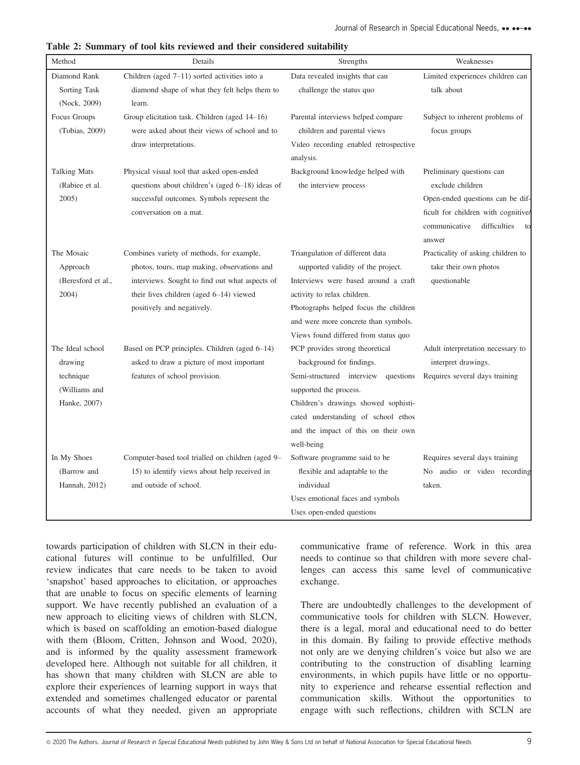| Method                                                                    | Details                                                                                                                                                                                                             | Strengths                                                                                                                                                                                                                                                             | Weaknesses                                                                                                                                                                |
|---------------------------------------------------------------------------|---------------------------------------------------------------------------------------------------------------------------------------------------------------------------------------------------------------------|-----------------------------------------------------------------------------------------------------------------------------------------------------------------------------------------------------------------------------------------------------------------------|---------------------------------------------------------------------------------------------------------------------------------------------------------------------------|
| Diamond Rank                                                              | Children (aged $7-11$ ) sorted activities into a                                                                                                                                                                    | Data revealed insights that can                                                                                                                                                                                                                                       | Limited experiences children can                                                                                                                                          |
| Sorting Task<br>(Nock, 2009)                                              | diamond shape of what they felt helps them to<br>learn.                                                                                                                                                             | challenge the status quo                                                                                                                                                                                                                                              | talk about                                                                                                                                                                |
| Focus Groups<br>(Tobias, 2009)                                            | Group elicitation task. Children (aged 14–16)<br>were asked about their views of school and to<br>draw interpretations.                                                                                             | Parental interviews helped compare<br>children and parental views<br>Video recording enabled retrospective<br>analysis.                                                                                                                                               | Subject to inherent problems of<br>focus groups                                                                                                                           |
| <b>Talking Mats</b><br>(Rabiee et al.<br>2005)                            | Physical visual tool that asked open-ended<br>questions about children's (aged $6-18$ ) ideas of<br>successful outcomes. Symbols represent the<br>conversation on a mat.                                            | Background knowledge helped with<br>the interview process                                                                                                                                                                                                             | Preliminary questions can<br>exclude children<br>Open-ended questions can be dif-<br>ficult for children with cognitive/<br>difficulties<br>communicative<br>to<br>answer |
| The Mosaic<br>Approach<br>(Beresford et al.,<br>2004)                     | Combines variety of methods, for example,<br>photos, tours, map making, observations and<br>interviews. Sought to find out what aspects of<br>their lives children (aged 6-14) viewed<br>positively and negatively. | Triangulation of different data<br>supported validity of the project.<br>Interviews were based around a craft<br>activity to relax children.<br>Photographs helped focus the children<br>and were more concrete than symbols.<br>Views found differed from status quo | Practicality of asking children to<br>take their own photos<br>questionable                                                                                               |
| The Ideal school<br>drawing<br>technique<br>(Williams and<br>Hanke, 2007) | Based on PCP principles. Children (aged 6–14)<br>asked to draw a picture of most important<br>features of school provision.                                                                                         | PCP provides strong theoretical<br>background for findings.<br>Semi-structured interview<br>questions<br>supported the process.<br>Children's drawings showed sophisti-<br>cated understanding of school ethos<br>and the impact of this on their own<br>well-being   | Adult interpretation necessary to<br>interpret drawings.<br>Requires several days training                                                                                |
| In My Shoes<br>(Barrow and<br>Hannah, 2012)                               | Computer-based tool trialled on children (aged 9–<br>15) to identify views about help received in<br>and outside of school.                                                                                         | Software programme said to be<br>flexible and adaptable to the<br>individual<br>Uses emotional faces and symbols<br>Uses open-ended questions                                                                                                                         | Requires several days training<br>No audio or video recording<br>taken.                                                                                                   |

Table 2: Summary of tool kits reviewed and their considered suitability

towards participation of children with SLCN in their educational futures will continue to be unfulfilled. Our review indicates that care needs to be taken to avoid 'snapshot' based approaches to elicitation, or approaches that are unable to focus on specific elements of learning support. We have recently published an evaluation of a new approach to eliciting views of children with SLCN, which is based on scaffolding an emotion-based dialogue with them (Bloom, Critten, Johnson and Wood, 2020), and is informed by the quality assessment framework developed here. Although not suitable for all children, it has shown that many children with SLCN are able to explore their experiences of learning support in ways that extended and sometimes challenged educator or parental accounts of what they needed, given an appropriate

communicative frame of reference. Work in this area needs to continue so that children with more severe challenges can access this same level of communicative exchange.

There are undoubtedly challenges to the development of communicative tools for children with SLCN. However, there is a legal, moral and educational need to do better in this domain. By failing to provide effective methods not only are we denying children's voice but also we are contributing to the construction of disabling learning environments, in which pupils have little or no opportunity to experience and rehearse essential reflection and communication skills. Without the opportunities to engage with such reflections, children with SCLN are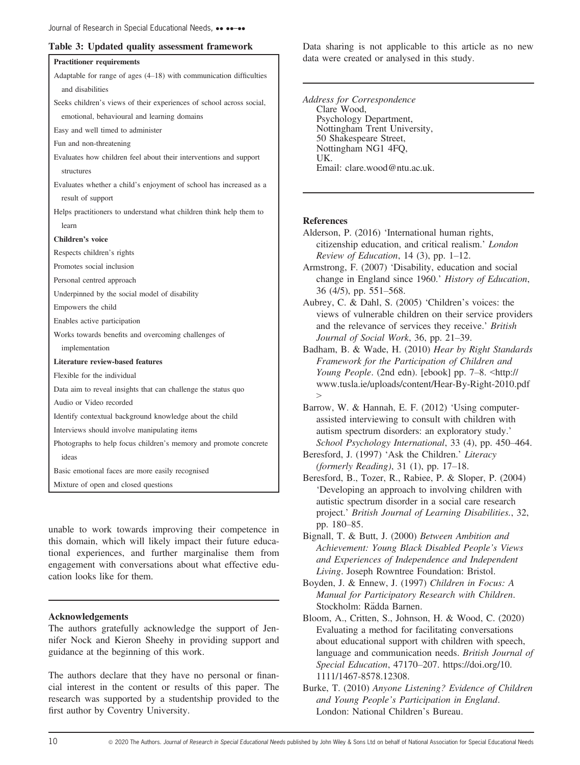Table 3: Updated quality assessment framework

| <b>Practitioner requirements</b>                                     |
|----------------------------------------------------------------------|
| Adaptable for range of ages $(4-18)$ with communication difficulties |
| and disabilities                                                     |
| Seeks children's views of their experiences of school across social, |
| emotional, behavioural and learning domains                          |
| Easy and well timed to administer                                    |
| Fun and non-threatening                                              |
| Evaluates how children feel about their interventions and support    |
| structures                                                           |
| Evaluates whether a child's enjoyment of school has increased as a   |
| result of support                                                    |
| Helps practitioners to understand what children think help them to   |
| learn                                                                |
| <b>Children's voice</b>                                              |
| Respects children's rights                                           |
| Promotes social inclusion                                            |
| Personal centred approach                                            |
| Underpinned by the social model of disability                        |
| Empowers the child                                                   |
| Enables active participation                                         |
| Works towards benefits and overcoming challenges of                  |
| implementation                                                       |
| Literature review-based features                                     |
| Flexible for the individual                                          |
| Data aim to reveal insights that can challenge the status quo        |
| Audio or Video recorded                                              |
| Identify contextual background knowledge about the child             |
| Interviews should involve manipulating items                         |
| Photographs to help focus children's memory and promote concrete     |
| ideas                                                                |
| Basic emotional faces are more easily recognised                     |
| Mixture of open and closed questions                                 |

unable to work towards improving their competence in this domain, which will likely impact their future educational experiences, and further marginalise them from engagement with conversations about what effective education looks like for them.

#### Acknowledgements

The authors gratefully acknowledge the support of Jennifer Nock and Kieron Sheehy in providing support and guidance at the beginning of this work.

The authors declare that they have no personal or financial interest in the content or results of this paper. The research was supported by a studentship provided to the first author by Coventry University.

Data sharing is not applicable to this article as no new data were created or analysed in this study.

Address for Correspondence Clare Wood, Psychology Department, Nottingham Trent University, 50 Shakespeare Street, Nottingham NG1 4FQ, UK. Email: [clare.wood@ntu.ac.uk.](mailto:)

#### References

- Alderson, P. (2016) 'International human rights, citizenship education, and critical realism.' London Review of Education, 14 (3), pp.  $1-12$ .
- Armstrong, F. (2007) 'Disability, education and social change in England since 1960.' History of Education, 36 (4/5), pp. 551–568.
- Aubrey, C. & Dahl, S. (2005) 'Children's voices: the views of vulnerable children on their service providers and the relevance of services they receive.' British Journal of Social Work, 36, pp. 21–39.
- Badham, B. & Wade, H. (2010) Hear by Right Standards Framework for the Participation of Children and Young People. (2nd edn). [ebook] pp. 7-8. <[http://](http://www.tusla.ie/uploads/content/Hear-By-Right-2010.pdf) [www.tusla.ie/uploads/content/Hear-By-Right-2010.pdf](http://www.tusla.ie/uploads/content/Hear-By-Right-2010.pdf) >
- Barrow, W. & Hannah, E. F. (2012) 'Using computerassisted interviewing to consult with children with autism spectrum disorders: an exploratory study.' School Psychology International, 33 (4), pp. 450–464.
- Beresford, J. (1997) 'Ask the Children.' Literacy (formerly Reading), 31 (1), pp. 17–18.
- Beresford, B., Tozer, R., Rabiee, P. & Sloper, P. (2004) 'Developing an approach to involving children with autistic spectrum disorder in a social care research project.' British Journal of Learning Disabilities., 32, pp. 180–85.
- Bignall, T. & Butt, J. (2000) Between Ambition and Achievement: Young Black Disabled People's Views and Experiences of Independence and Independent Living. Joseph Rowntree Foundation: Bristol.
- Boyden, J. & Ennew, J. (1997) Children in Focus: A Manual for Participatory Research with Children. Stockholm: Rädda Barnen.
- Bloom, A., Critten, S., Johnson, H. & Wood, C. (2020) Evaluating a method for facilitating conversations about educational support with children with speech, language and communication needs. British Journal of Special Education, 47170–207. [https://doi.org/10.](https://doi.org/10.1111/1467‐8578.12308) [1111/1467-8578.12308](https://doi.org/10.1111/1467‐8578.12308).
- Burke, T. (2010) Anyone Listening? Evidence of Children and Young People's Participation in England. London: National Children's Bureau.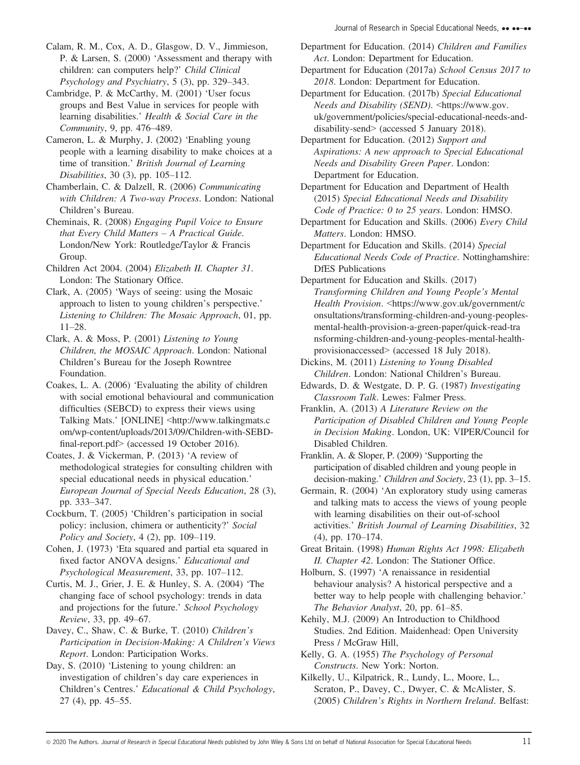Calam, R. M., Cox, A. D., Glasgow, D. V., Jimmieson, P. & Larsen, S. (2000) 'Assessment and therapy with children: can computers help?' Child Clinical Psychology and Psychiatry, 5 (3), pp. 329–343.

Cambridge, P. & McCarthy, M. (2001) 'User focus groups and Best Value in services for people with learning disabilities.' Health & Social Care in the Community, 9, pp. 476–489.

Cameron, L. & Murphy, J. (2002) 'Enabling young people with a learning disability to make choices at a time of transition.' British Journal of Learning Disabilities, 30 (3), pp. 105–112.

Chamberlain, C. & Dalzell, R. (2006) Communicating with Children: A Two-way Process. London: National Children's Bureau.

Cheminais, R. (2008) Engaging Pupil Voice to Ensure that Every Child Matters – A Practical Guide. London/New York: Routledge/Taylor & Francis Group.

Children Act 2004. (2004) Elizabeth II. Chapter 31. London: The Stationary Office.

Clark, A. (2005) 'Ways of seeing: using the Mosaic approach to listen to young children's perspective.' Listening to Children: The Mosaic Approach, 01, pp. 11–28.

Clark, A. & Moss, P. (2001) Listening to Young Children, the MOSAIC Approach. London: National Children's Bureau for the Joseph Rowntree Foundation.

Coakes, L. A. (2006) 'Evaluating the ability of children with social emotional behavioural and communication difficulties (SEBCD) to express their views using Talking Mats.' [ONLINE] <[http://www.talkingmats.c](http://www.talkingmats.com/wp-content/uploads/2013/09/Children-with-SEBD-final-report.pdf) [om/wp-content/uploads/2013/09/Children-with-SEBD](http://www.talkingmats.com/wp-content/uploads/2013/09/Children-with-SEBD-final-report.pdf)fi[nal-report.pdf](http://www.talkingmats.com/wp-content/uploads/2013/09/Children-with-SEBD-final-report.pdf)> (accessed 19 October 2016).

Coates, J. & Vickerman, P. (2013) 'A review of methodological strategies for consulting children with special educational needs in physical education.' European Journal of Special Needs Education, 28 (3), pp. 333–347.

Cockburn, T. (2005) 'Children's participation in social policy: inclusion, chimera or authenticity?' Social Policy and Society,  $4(2)$ , pp. 109–119.

Cohen, J. (1973) 'Eta squared and partial eta squared in fixed factor ANOVA designs.' Educational and Psychological Measurement, 33, pp. 107–112.

Curtis, M. J., Grier, J. E. & Hunley, S. A. (2004) 'The changing face of school psychology: trends in data and projections for the future.' School Psychology Review, 33, pp. 49–67.

Davey, C., Shaw, C. & Burke, T. (2010) Children's Participation in Decision-Making: A Children's Views Report. London: Participation Works.

Day, S. (2010) 'Listening to young children: an investigation of children's day care experiences in Children's Centres.' Educational & Child Psychology, 27 (4), pp. 45–55.

Department for Education. (2014) Children and Families Act. London: Department for Education.

Department for Education (2017a) School Census 2017 to 2018. London: Department for Education.

Department for Education. (2017b) Special Educational Needs and Disability (SEND). <[https://www.gov.](https://www.gov.uk/government/policies/special-educational-needs-and-disability-send) [uk/government/policies/special-educational-needs-and](https://www.gov.uk/government/policies/special-educational-needs-and-disability-send)[disability-send](https://www.gov.uk/government/policies/special-educational-needs-and-disability-send)> (accessed 5 January 2018).

Department for Education. (2012) Support and Aspirations: A new approach to Special Educational Needs and Disability Green Paper. London: Department for Education.

Department for Education and Department of Health (2015) Special Educational Needs and Disability Code of Practice: 0 to 25 years. London: HMSO.

Department for Education and Skills. (2006) Every Child Matters. London: HMSO.

Department for Education and Skills. (2014) Special Educational Needs Code of Practice. Nottinghamshire: DfES Publications

Department for Education and Skills. (2017) Transforming Children and Young People's Mental Health Provision. < [https://www.gov.uk/government/c](https://www.gov.uk/government/consultations/transforming-children-and-young-peoples-mental-health-provision-a-green-paper/quick-read-transforming-children-and-young-peoples-mental-health-provisionaccessed) [onsultations/transforming-children-and-young-peoples](https://www.gov.uk/government/consultations/transforming-children-and-young-peoples-mental-health-provision-a-green-paper/quick-read-transforming-children-and-young-peoples-mental-health-provisionaccessed)[mental-health-provision-a-green-paper/quick-read-tra](https://www.gov.uk/government/consultations/transforming-children-and-young-peoples-mental-health-provision-a-green-paper/quick-read-transforming-children-and-young-peoples-mental-health-provisionaccessed) [nsforming-children-and-young-peoples-mental-health](https://www.gov.uk/government/consultations/transforming-children-and-young-peoples-mental-health-provision-a-green-paper/quick-read-transforming-children-and-young-peoples-mental-health-provisionaccessed)[provisionaccessed](https://www.gov.uk/government/consultations/transforming-children-and-young-peoples-mental-health-provision-a-green-paper/quick-read-transforming-children-and-young-peoples-mental-health-provisionaccessed)> (accessed 18 July 2018).

Dickins, M. (2011) Listening to Young Disabled Children. London: National Children's Bureau.

Edwards, D. & Westgate, D. P. G. (1987) Investigating Classroom Talk. Lewes: Falmer Press.

Franklin, A. (2013) A Literature Review on the Participation of Disabled Children and Young People in Decision Making. London, UK: VIPER/Council for Disabled Children.

Franklin, A. & Sloper, P. (2009) 'Supporting the participation of disabled children and young people in decision-making.' Children and Society, 23 (1), pp. 3–15.

Germain, R. (2004) 'An exploratory study using cameras and talking mats to access the views of young people with learning disabilities on their out-of-school activities.' British Journal of Learning Disabilities, 32 (4), pp. 170–174.

Great Britain. (1998) Human Rights Act 1998: Elizabeth II. Chapter 42. London: The Stationer Office.

Holburn, S. (1997) 'A renaissance in residential behaviour analysis? A historical perspective and a better way to help people with challenging behavior.' The Behavior Analyst, 20, pp. 61–85.

Kehily, M.J. (2009) An Introduction to Childhood Studies. 2nd Edition. Maidenhead: Open University Press / McGraw Hill,

Kelly, G. A. (1955) The Psychology of Personal Constructs. New York: Norton.

Kilkelly, U., Kilpatrick, R., Lundy, L., Moore, L., Scraton, P., Davey, C., Dwyer, C. & McAlister, S. (2005) Children's Rights in Northern Ireland. Belfast: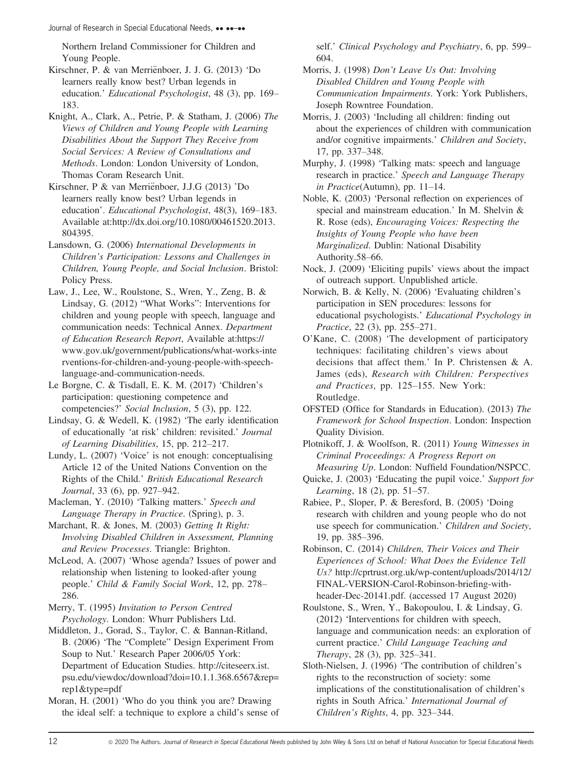Journal of Research in Special Educational Needs, ... ...

Northern Ireland Commissioner for Children and Young People.

Kirschner, P. & van Merriënboer, J. J. G. (2013) 'Do learners really know best? Urban legends in education.' Educational Psychologist, 48 (3), pp. 169– 183.

Knight, A., Clark, A., Petrie, P. & Statham, J. (2006) The Views of Children and Young People with Learning Disabilities About the Support They Receive from Social Services: A Review of Consultations and Methods. London: London University of London, Thomas Coram Research Unit.

Kirschner, P & van Merriënboer, J.J.G (2013) 'Do learners really know best? Urban legends in education'. Educational Psychologist, 48(3), 169–183. Available at:[http://dx.doi.org/10.1080/00461520.2013.](http://dx.doi.org/10.1080/00461520.2013.804395) [804395](http://dx.doi.org/10.1080/00461520.2013.804395).

Lansdown, G. (2006) International Developments in Children's Participation: Lessons and Challenges in Children, Young People, and Social Inclusion. Bristol: Policy Press.

Law, J., Lee, W., Roulstone, S., Wren, Y., Zeng, B. & Lindsay, G. (2012) "What Works": Interventions for children and young people with speech, language and communication needs: Technical Annex. Department of Education Research Report, Available at:[https://](https://www.gov.uk/government/publications/what‐works‐interventions‐for‐children‐and‐young‐people‐with‐speech‐language‐and‐communication‐needs) [www.gov.uk/government/publications/what-works-inte](https://www.gov.uk/government/publications/what‐works‐interventions‐for‐children‐and‐young‐people‐with‐speech‐language‐and‐communication‐needs) [rventions-for-children-and-young-people-with-speech](https://www.gov.uk/government/publications/what‐works‐interventions‐for‐children‐and‐young‐people‐with‐speech‐language‐and‐communication‐needs)[language-and-communication-needs](https://www.gov.uk/government/publications/what‐works‐interventions‐for‐children‐and‐young‐people‐with‐speech‐language‐and‐communication‐needs).

Le Borgne, C. & Tisdall, E. K. M. (2017) 'Children's participation: questioning competence and competencies?' Social Inclusion, 5 (3), pp. 122.

Lindsay, G. & Wedell, K. (1982) 'The early identification of educationally 'at risk' children: revisited.' Journal of Learning Disabilities, 15, pp. 212–217.

Lundy, L. (2007) 'Voice' is not enough: conceptualising Article 12 of the United Nations Convention on the Rights of the Child.' British Educational Research Journal, 33 (6), pp. 927–942.

Macleman, Y. (2010) 'Talking matters.' Speech and Language Therapy in Practice. (Spring), p. 3.

Marchant, R. & Jones, M. (2003) Getting It Right: Involving Disabled Children in Assessment, Planning and Review Processes. Triangle: Brighton.

McLeod, A. (2007) 'Whose agenda? Issues of power and relationship when listening to looked-after young people.' Child & Family Social Work, 12, pp. 278– 286.

Merry, T. (1995) Invitation to Person Centred Psychology. London: Whurr Publishers Ltd.

Middleton, J., Gorad, S., Taylor, C. & Bannan-Ritland, B. (2006) 'The "Complete" Design Experiment From Soup to Nut.' Research Paper 2006/05 York: Department of Education Studies. [http://citeseerx.ist.](http://citeseerx.ist.psu.edu/viewdoc/download?doi=10.1.1.368.6567&rep=rep1&type=pdf) [psu.edu/viewdoc/download?doi=10.1.1.368.6567&rep=](http://citeseerx.ist.psu.edu/viewdoc/download?doi=10.1.1.368.6567&rep=rep1&type=pdf) [rep1&type=pdf](http://citeseerx.ist.psu.edu/viewdoc/download?doi=10.1.1.368.6567&rep=rep1&type=pdf)

Moran, H. (2001) 'Who do you think you are? Drawing the ideal self: a technique to explore a child's sense of self.' Clinical Psychology and Psychiatry, 6, pp. 599– 604.

Morris, J. (1998) Don't Leave Us Out: Involving Disabled Children and Young People with Communication Impairments. York: York Publishers, Joseph Rowntree Foundation.

Morris, J. (2003) 'Including all children: finding out about the experiences of children with communication and/or cognitive impairments.' Children and Society, 17, pp. 337–348.

Murphy, J. (1998) 'Talking mats: speech and language research in practice.' Speech and Language Therapy in Practice(Autumn), pp. 11–14.

Noble, K. (2003) 'Personal reflection on experiences of special and mainstream education.' In M. Shelvin & R. Rose (eds), Encouraging Voices: Respecting the Insights of Young People who have been Marginalized. Dublin: National Disability Authority.58–66.

Nock, J. (2009) 'Eliciting pupils' views about the impact of outreach support. Unpublished article.

Norwich, B. & Kelly, N. (2006) 'Evaluating children's participation in SEN procedures: lessons for educational psychologists.' Educational Psychology in Practice, 22 (3), pp. 255–271.

O'Kane, C. (2008) 'The development of participatory techniques: facilitating children's views about decisions that affect them.' In P. Christensen & A. James (eds), Research with Children: Perspectives and Practices, pp. 125–155. New York: Routledge.

OFSTED (Office for Standards in Education). (2013) The Framework for School Inspection. London: Inspection Quality Division.

Plotnikoff, J. & Woolfson, R. (2011) Young Witnesses in Criminal Proceedings: A Progress Report on Measuring Up. London: Nuffield Foundation/NSPCC.

Quicke, J. (2003) 'Educating the pupil voice.' Support for Learning, 18 (2), pp. 51–57.

Rabiee, P., Sloper, P. & Beresford, B. (2005) 'Doing research with children and young people who do not use speech for communication.' Children and Society, 19, pp. 385–396.

Robinson, C. (2014) Children, Their Voices and Their Experiences of School: What Does the Evidence Tell Us? [http://cprtrust.org.uk/wp-content/uploads/2014/12/](http://cprtrust.org.uk/wp-content/uploads/2014/12/FINAL-VERSION-Carol-Robinson-briefing-with-header-Dec-20141.pdf) [FINAL-VERSION-Carol-Robinson-brie](http://cprtrust.org.uk/wp-content/uploads/2014/12/FINAL-VERSION-Carol-Robinson-briefing-with-header-Dec-20141.pdf)fing-with[header-Dec-20141.pdf](http://cprtrust.org.uk/wp-content/uploads/2014/12/FINAL-VERSION-Carol-Robinson-briefing-with-header-Dec-20141.pdf). (accessed 17 August 2020)

Roulstone, S., Wren, Y., Bakopoulou, I. & Lindsay, G. (2012) 'Interventions for children with speech, language and communication needs: an exploration of current practice.' Child Language Teaching and Therapy, 28 (3), pp. 325–341.

Sloth-Nielsen, J. (1996) 'The contribution of children's rights to the reconstruction of society: some implications of the constitutionalisation of children's rights in South Africa.' International Journal of Children's Rights, 4, pp. 323–344.